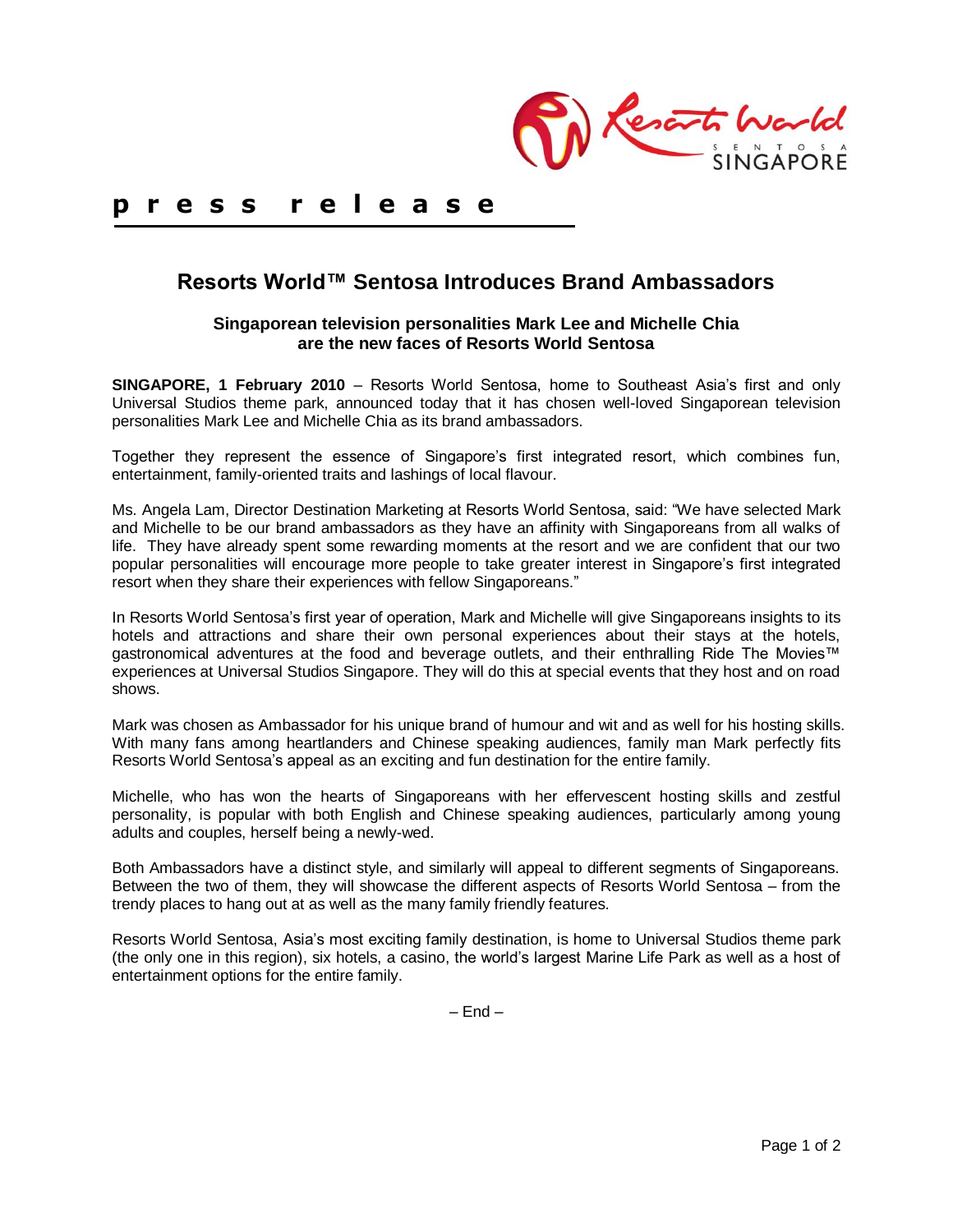

# **p r e s s r e l e a s e**

# **Resorts World™ Sentosa Introduces Brand Ambassadors**

## **Singaporean television personalities Mark Lee and Michelle Chia are the new faces of Resorts World Sentosa**

**SINGAPORE, 1 February 2010** – Resorts World Sentosa, home to Southeast Asia's first and only Universal Studios theme park, announced today that it has chosen well-loved Singaporean television personalities Mark Lee and Michelle Chia as its brand ambassadors.

Together they represent the essence of Singapore's first integrated resort, which combines fun, entertainment, family-oriented traits and lashings of local flavour.

Ms. Angela Lam, Director Destination Marketing at Resorts World Sentosa, said: "We have selected Mark and Michelle to be our brand ambassadors as they have an affinity with Singaporeans from all walks of life. They have already spent some rewarding moments at the resort and we are confident that our two popular personalities will encourage more people to take greater interest in Singapore's first integrated resort when they share their experiences with fellow Singaporeans."

In Resorts World Sentosa's first year of operation, Mark and Michelle will give Singaporeans insights to its hotels and attractions and share their own personal experiences about their stays at the hotels, gastronomical adventures at the food and beverage outlets, and their enthralling Ride The Movies™ experiences at Universal Studios Singapore. They will do this at special events that they host and on road shows.

Mark was chosen as Ambassador for his unique brand of humour and wit and as well for his hosting skills. With many fans among heartlanders and Chinese speaking audiences, family man Mark perfectly fits Resorts World Sentosa's appeal as an exciting and fun destination for the entire family.

Michelle, who has won the hearts of Singaporeans with her effervescent hosting skills and zestful personality, is popular with both English and Chinese speaking audiences, particularly among young adults and couples, herself being a newly-wed.

Both Ambassadors have a distinct style, and similarly will appeal to different segments of Singaporeans. Between the two of them, they will showcase the different aspects of Resorts World Sentosa – from the trendy places to hang out at as well as the many family friendly features.

Resorts World Sentosa, Asia's most exciting family destination, is home to Universal Studios theme park (the only one in this region), six hotels, a casino, the world's largest Marine Life Park as well as a host of entertainment options for the entire family.

 $-$  End  $-$